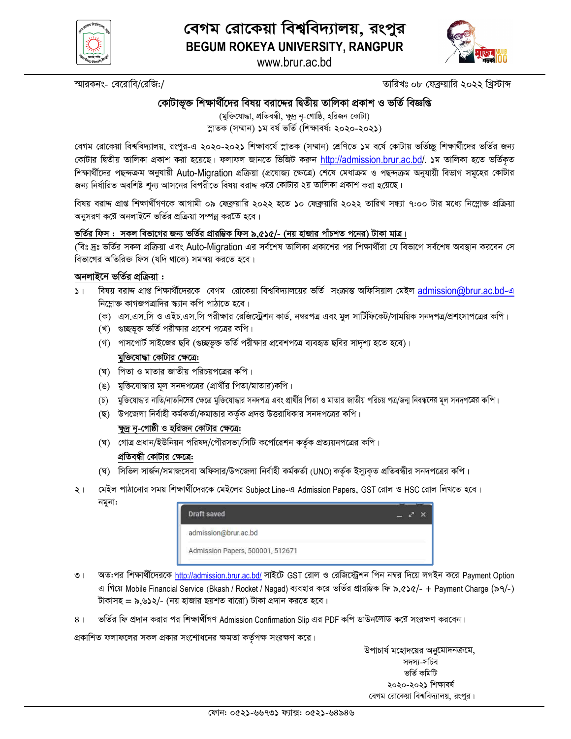

www.brur.ac.bd



স্মারকনং- বেরোবি/রেজি:/

তারিখঃ ০৮ ফেব্রুয়ারি ২০২২ খ্রিস্টাব্দ

# কোটাভুক্ত শিক্ষার্থীদের বিষয় বরাদ্দের দ্বিতীয় তালিকা প্রকাশ ও ভর্তি বিজ্ঞপ্তি

(মুক্তিযোদ্ধা, প্রতিবন্ধী, ক্ষুদ্র নৃ-গোষ্ঠি, হরিজন কোটা) স্নাতক (সম্মান) ১ম বৰ্ষ ভৰ্তি (শিক্ষাবৰ্ষ: ২০২০-২০২১)

বেগম রোকেয়া বিশ্ববিদ্যালয়, রংপুর-এ ২০২০-২০২১ শিক্ষাবর্ষে স্লাতক (সম্মান) শ্রেণিতে ১ম বর্ষে কোটায় ভর্তিচ্ছু শিক্ষার্থীদের ভর্তির জন্য কোটার দ্বিতীয় তালিকা প্রকাশ করা হয়েছে। ফলাফল জানতে ভিজিট করুন http://admission.brur.ac.bd/. ১ম তালিকা হতে ভর্তিকত শিক্ষার্থীদের পছন্দক্রম অনুযায়ী Auto-Migration প্রক্রিয়া (প্রযোজ্য ক্ষেত্রে) শেষে মেধাক্রম ও পছন্দক্রম অনুযায়ী বিভাগ সমূহের কোটার জন্য নির্ধারিত অবশিষ্ট শূন্য আসনের বিপরীতে বিষয় বরাদ্দ করে কোটার ২য় তালিকা প্রকাশ করা হয়েছে।

বিষয় বরাদ্দ প্রাপ্ত শিক্ষার্থীগণকে আগামী ০৯ ফেব্রুয়ারি ২০২২ হতে ১০ ফেব্রুয়ারি ২০২২ তারিখ সন্ধ্যা ৭:০০ টার মধ্যে নিম্লোক্ত প্রক্রিয়া অনুসরণ করে অনলাইনে ভর্তির প্রক্রিয়া সম্পন্ন করতে হবে।

### ভর্তির ফিস : সকল বিভাগের জন্য ভর্তি<u>র প্রারম্ভিক ফিস ৯.৫১৫/- (নয় হাজার পাঁচশত পনের) টাকা মাত্র।</u>

(বিঃ দ্রঃ ভর্তির সকল প্রক্রিয়া এবং Auto-Migration এর সর্বশেষ তালিকা প্রকাশের পর শিক্ষার্থীরা যে বিভাগে সর্বশেষ অবস্থান করবেন সে বিভাগের অতিরিক্ত ফিস (যদি থাকে) সমন্বয় করতে হবে।

#### অনলাইনে ভর্তির প্রক্রিয়া :

- ১। বিষয় বরাদ্দ প্রাপ্ত শিক্ষার্থীদেরকে বেগম রোকেয়া বিশ্ববিদ্যালয়ের ভর্তি সংক্রান্ত অফিসিয়াল মেইল admission@brur.ac.bd-এ নিম্নোক্ত কাগজপত্রাদির স্ক্যান কপি পাঠাতে হবে।
	- (ক) এস.এস.সি ও এইচ.এস.সি পরীক্ষার রেজিস্ট্রেশন কার্ড, নম্বরপত্র এবং মুল সার্টিফিকেট/সাময়িক সনদপত্র/প্রশংসাপত্রের কপি।
	- (খ) গুচ্ছভূক্ত ভর্তি পরীক্ষার প্রবেশ পত্রের কপি।
	- (গ) পাসপোর্ট সাইজের ছবি (গুচ্ছভূক্ত ভর্তি পরীক্ষার প্রবেশপত্রে ব্যবহৃত ছবির সাদৃশ্য হতে হবে)।

#### মুক্তিযোদ্ধা কোটার ক্ষেত্রে:

- (ঘ) পিতা ও মাতার জাতীয় পরিচয়পত্রের কপি।
- (ঙ) মুক্তিযোদ্ধার মূল সনদপত্রের (প্রার্থীর পিতা/মাতার)কপি।
- (চ) মুক্তিযোদ্ধার নাতি/নাতনিদের ক্ষেত্রে মুক্তিযোদ্ধার সনদপত্র এবং প্রার্থীর পিতা ও মাতার জাতীয় পরিচয় পত্র/জন্ম নিবন্ধনের মূল সনদপত্রের কপি।
- (ছ) উপজেলা নির্বাহী কর্মকর্তা/কমান্ডার কর্তৃক প্রদত্ত উত্তরাধিকার সনদপত্রের কপি।

#### ক্ষুদ্র নৃ-গোষ্ঠী ও হরিজন কোটার ক্ষেত্রে:

- (ঘ) গোত্র প্রধান/ইউনিয়ন পরিষদ/পৌরসভা/সিটি কর্পোরেশন কর্তৃক প্রত্যয়নপত্রের কপি। প্রতিবন্ধী কোটার ক্ষেত্রে:
- (ঘ) সিভিল সার্জন/সমাজসেবা অফিসার/উপজেলা নির্বাহী কর্মকর্তা (UNO) কর্তৃক ইস্যুকৃত প্রতিবন্ধীর সনদপত্রের কপি।
- মেইল পাঠানোর সময় শিক্ষার্থীদেরকে মেইলের Subject Line-এ Admission Papers, GST রোল ও HSC রোল লিখতে হবে।  $\geq 1$ নমুনা:

| Draft saved                      |  |
|----------------------------------|--|
| admission@brur.ac.bd             |  |
| Admission Papers, 500001, 512671 |  |

- অত:পর শিক্ষার্থীদেরকে http://admission.brur.ac.bd/ সাইটে GST রোল ও রেজিস্ট্রেশন পিন নম্বর দিয়ে লগইন করে Payment Option  $\circ$ এ গিয়ে Mobile Financial Service (Bkash / Rocket / Nagad) ব্যবহার করে ভর্তির প্রারম্ভিক ফি ৯.৫১৫/- + Payment Charge (৯৭/-) টাকাসহ = ৯.৬১২/- (নয় হাজার ছয়শত বারো) টাকা প্রদান করতে হবে।
- ভর্তির ফি প্রদান করার পর শিক্ষার্থীগণ Admission Confirmation Slip এর PDF কপি ডাউনলোড করে সংরক্ষণ করবেন।  $8<sub>1</sub>$

প্রকাশিত ফলাফলের সকল প্রকার সংশোধনের ক্ষমতা কর্তৃপক্ষ সংরক্ষণ করে।

উপাচার্য মহোদয়ের অনুমোদনক্রমে, সদস্য-সচিব ভৰ্তি কমিটি ২০২০-২০২১ শিক্ষাবৰ্ষ বেগম রোকেয়া বিশ্ববিদ্যালয়, রংপুর।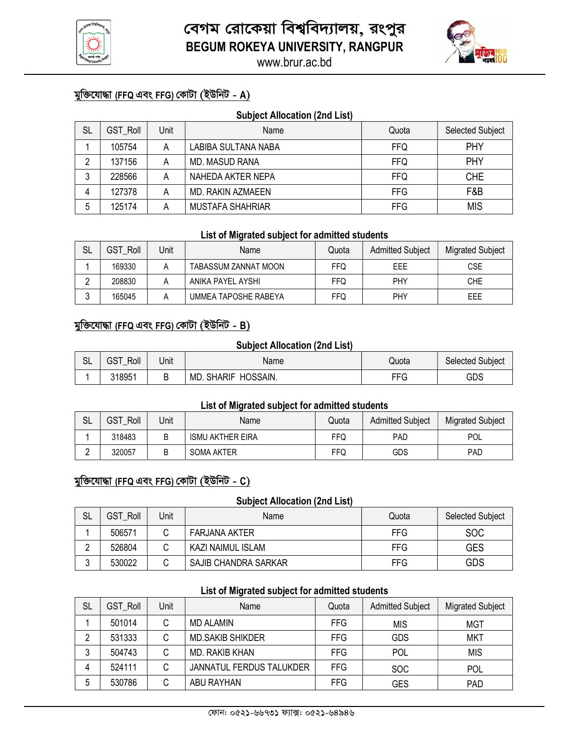



# মুক্তিযোদ্ধা (FFQ এবং FFG) কোটা (ইউনিট - A)

| <b>Subject Allocation (2nd List)</b> |                 |      |                         |            |                  |  |  |  |  |  |
|--------------------------------------|-----------------|------|-------------------------|------------|------------------|--|--|--|--|--|
| <b>SL</b>                            | <b>GST Roll</b> | Unit | Name                    | Quota      | Selected Subject |  |  |  |  |  |
|                                      | 105754          | Α    | LABIBA SULTANA NABA     | <b>FFQ</b> | <b>PHY</b>       |  |  |  |  |  |
| ∩                                    | 137156          | Α    | <b>MD. MASUD RANA</b>   | <b>FFQ</b> | PHY              |  |  |  |  |  |
| 3                                    | 228566          | Α    | NAHEDA AKTER NEPA       | <b>FFQ</b> | <b>CHE</b>       |  |  |  |  |  |
| 4                                    | 127378          | Α    | MD. RAKIN AZMAEEN       | <b>FFG</b> | F&B              |  |  |  |  |  |
| 5                                    | 125174          | Α    | <b>MUSTAFA SHAHRIAR</b> | <b>FFG</b> | <b>MIS</b>       |  |  |  |  |  |

#### List of Migrated subject for admitted students

| <b>SL</b> | <b>GST Roll</b> | Unit | Name                 | Quota | <b>Admitted Subject</b> | <b>Migrated Subject</b> |
|-----------|-----------------|------|----------------------|-------|-------------------------|-------------------------|
|           | 169330          |      | TABASSUM ZANNAT MOON | FFQ   | EEE                     | <b>CSE</b>              |
|           | 208830          |      | ANIKA PAYEL AYSHI    | FFQ   | <b>PHY</b>              | <b>CHE</b>              |
|           | 165045          |      | UMMEA TAPOSHE RABEYA | FFQ   | <b>PHY</b>              | EEE                     |

### মুক্তিযোদ্ধা (FFQ এবং FFG) কোটা (ইউনিট - B)

#### Subject Allocation (2nd List)

| $\sim$<br>∟ت | GST<br>Roll<br>_ | Unit | Name                            | Quota | Selected Subject |
|--------------|------------------|------|---------------------------------|-------|------------------|
|              | 318951           | -    | HOSSAIN.<br><b>SHARIF</b><br>MD | FFG   | GDS              |

#### List of Migrated subject for admitted students

| $\sim$<br>SL | <b>GST</b><br>Roll | Unit | Name                    | Quota | <b>Admitted Subject</b> | <b>Migrated Subject</b> |
|--------------|--------------------|------|-------------------------|-------|-------------------------|-------------------------|
|              | 318483             | В    | <b>ISMU AKTHER EIRA</b> | FFQ   | <b>PAD</b>              | POL                     |
| ▃            | 320057             | В    | <b>SOMA AKTER</b>       | FFQ   | GDS                     | PAD                     |

### মুক্তিযোদ্ধা (FFQ এবং FFG) কোটা (ইউনিট - C)

#### Subject Allocation (2nd List)

| <b>SL</b> | <b>GST Roll</b> | Unit | Name                 | Quota      | <b>Selected Subject</b> |
|-----------|-----------------|------|----------------------|------------|-------------------------|
|           | 506571          |      | <b>FARJANA AKTER</b> | <b>FFG</b> | <b>SOC</b>              |
|           | 526804          |      | KAZI NAIMUL ISLAM    | <b>FFG</b> | GES                     |
|           | 530022          |      | SAJIB CHANDRA SARKAR | <b>FFG</b> | GDS                     |

### List of Migrated subject for admitted students

| <b>SL</b> | <b>GST Roll</b> | Unit | Name                     | Quota      | <b>Admitted Subject</b> | <b>Migrated Subject</b> |  |
|-----------|-----------------|------|--------------------------|------------|-------------------------|-------------------------|--|
|           | 501014          | С    | <b>MD ALAMIN</b>         | <b>FFG</b> | <b>MIS</b>              | <b>MGT</b>              |  |
|           | 531333          | С    | <b>MD.SAKIB SHIKDER</b>  | <b>FFG</b> | <b>GDS</b>              | <b>MKT</b>              |  |
|           | 504743          | С    | MD. RAKIB KHAN           | <b>FFG</b> | POL                     | <b>MIS</b>              |  |
|           | 524111          | С    | JANNATUL FERDUS TALUKDER | FFG.       | <b>SOC</b>              | <b>POL</b>              |  |
|           | 530786          | C    | ABU RAYHAN               | <b>FFG</b> | GES                     | PAD                     |  |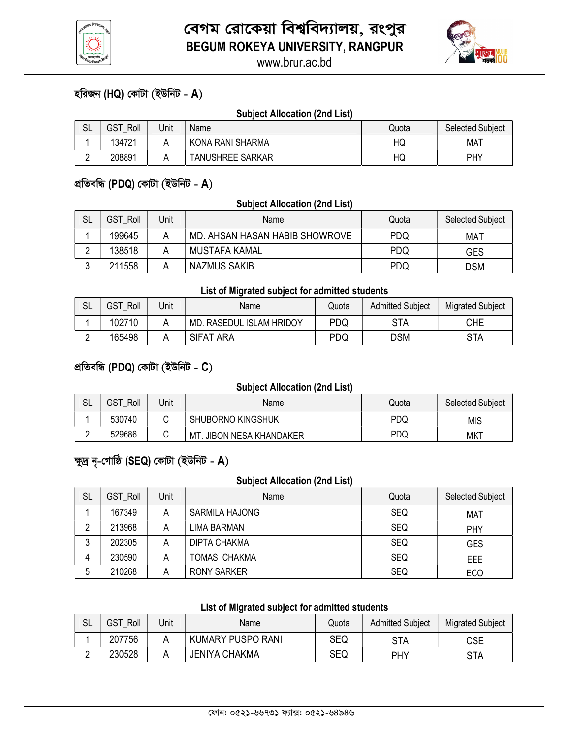



## <u>হরিজন (HQ) কোটা (ইউনিট - A)</u>

#### **Subject Allocation (2nd List)**

| SL     | GST<br>Roll | Unit | Name                    | Quota | <b>Selected Subject</b> |
|--------|-------------|------|-------------------------|-------|-------------------------|
|        | 134721      |      | KONA RANI SHARMA        | HQ    | <b>MAT</b>              |
| ⌒<br>- | 208891      |      | <b>TANUSHREE SARKAR</b> | HQ    | PHY                     |

### প্ৰতিবন্ধি (PDQ) কোটা (ইউনিট - A)

#### **Subject Allocation (2nd List)**

| <b>SL</b> | <b>GST Roll</b> | Jnit | Name                           | Quota      | <b>Selected Subject</b> |
|-----------|-----------------|------|--------------------------------|------------|-------------------------|
|           | 199645          |      | MD. AHSAN HASAN HABIB SHOWROVE | PDQ        | MAT                     |
|           | 138518          |      | MUSTAFA KAMAL                  | <b>PDQ</b> | <b>GES</b>              |
|           | 211558          |      | <b>NAZMUS SAKIB</b>            | PDQ        | DSM                     |

#### List of Migrated subject for admitted students

| SL       | GST<br>Roll | Jnit | Name                        | Quota | <b>Admitted Subject</b> | <b>Migrated Subject</b> |
|----------|-------------|------|-----------------------------|-------|-------------------------|-------------------------|
|          | 102710      |      | RASEDUL ISLAM HRIDOY<br>MD. | PDQ   | STA                     | CHE                     |
| <u>_</u> | 165498      |      | <b>SIFAT ARA</b>            | PDQ   | DSM                     | <b>STA</b>              |

### <u>প্ৰতিবন্ধি (PDQ) কোটা (ইউনিট - C)</u>

#### **Subject Allocation (2nd List)**

| SL | GST<br>Roll | Jnit | Name                              | Quota | <b>Selected Subject</b> |
|----|-------------|------|-----------------------------------|-------|-------------------------|
|    | 530740      |      | <b>SHUBORNO KINGSHUK</b>          | PDQ   | MIS                     |
| -  | 529686      |      | MТ<br><b>JIBON NESA KHANDAKER</b> | PDQ   | <b>MKT</b>              |

# ক্ষুদ্ৰ নৃ-গোষ্ঠি (SEQ) কোটা (ইউনিট - A)

#### **Subject Allocation (2nd List)**

| SL     | <b>GST Roll</b> | Unit | Name                  | Quota      | <b>Selected Subject</b> |
|--------|-----------------|------|-----------------------|------------|-------------------------|
|        | 167349          | Α    | <b>SARMILA HAJONG</b> | <b>SEQ</b> | <b>MAT</b>              |
|        | 213968          | Α    | <b>LIMA BARMAN</b>    | <b>SEQ</b> | <b>PHY</b>              |
| ◠<br>J | 202305          | Α    | <b>DIPTA CHAKMA</b>   | <b>SEQ</b> | <b>GES</b>              |
| 4      | 230590          | А    | <b>TOMAS CHAKMA</b>   | <b>SEQ</b> | EEE                     |
| ა      | 210268          | Α    | <b>RONY SARKER</b>    | <b>SEQ</b> | EC <sub>O</sub>         |

# List of Migrated subject for admitted students

| SL | GST<br>Roll | Jnit | Name                     | Quota | <b>Admitted Subject</b> | <b>Migrated Subject</b> |
|----|-------------|------|--------------------------|-------|-------------------------|-------------------------|
|    | 207756      |      | <b>KUMARY PUSPO RANI</b> | SEQ   | STA                     | <b>CSE</b>              |
| -  | 230528      |      | <b>JENIYA CHAKMA</b>     | SEQ   | PHY                     | STA                     |